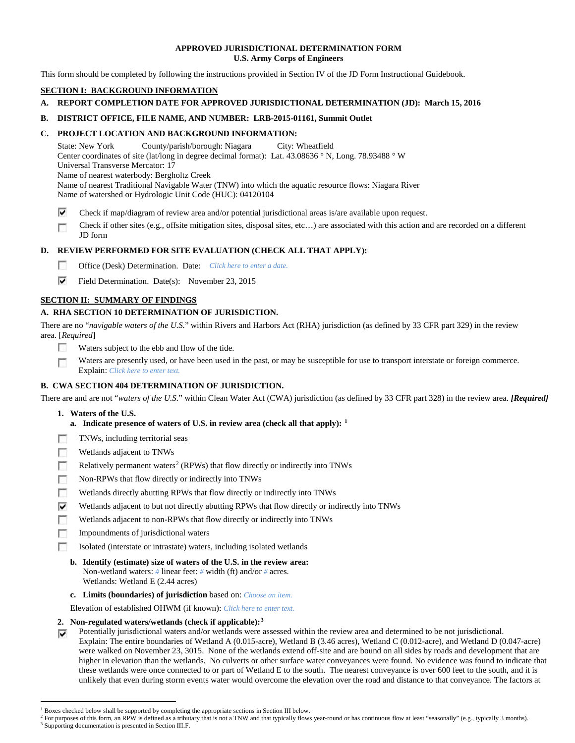## **APPROVED JURISDICTIONAL DETERMINATION FORM U.S. Army Corps of Engineers**

This form should be completed by following the instructions provided in Section IV of the JD Form Instructional Guidebook.

# **SECTION I: BACKGROUND INFORMATION**

# **A. REPORT COMPLETION DATE FOR APPROVED JURISDICTIONAL DETERMINATION (JD): March 15, 2016**

# **B. DISTRICT OFFICE, FILE NAME, AND NUMBER: LRB-2015-01161, Summit Outlet**

# **C. PROJECT LOCATION AND BACKGROUND INFORMATION:**

State: New York County/parish/borough: Niagara City: Wheatfield Center coordinates of site (lat/long in degree decimal format): Lat. 43.08636 ° N, Long. 78.93488 ° W Universal Transverse Mercator: 17 Name of nearest waterbody: Bergholtz Creek Name of nearest Traditional Navigable Water (TNW) into which the aquatic resource flows: Niagara River Name of watershed or Hydrologic Unit Code (HUC): 04120104

⊽ Check if map/diagram of review area and/or potential jurisdictional areas is/are available upon request.

Check if other sites (e.g., offsite mitigation sites, disposal sites, etc…) are associated with this action and are recorded on a different г JD form

# **D. REVIEW PERFORMED FOR SITE EVALUATION (CHECK ALL THAT APPLY):**

- $\sim$ Office (Desk) Determination. Date: *Click here to enter a date.*
- ⊽ Field Determination. Date(s): November 23, 2015

# **SECTION II: SUMMARY OF FINDINGS**

# **A. RHA SECTION 10 DETERMINATION OF JURISDICTION.**

There are no "*navigable waters of the U.S.*" within Rivers and Harbors Act (RHA) jurisdiction (as defined by 33 CFR part 329) in the review area. [*Required*]

- п Waters subject to the ebb and flow of the tide.
- Waters are presently used, or have been used in the past, or may be susceptible for use to transport interstate or foreign commerce. п Explain: *Click here to enter text.*

# **B. CWA SECTION 404 DETERMINATION OF JURISDICTION.**

There are and are not "*waters of the U.S.*" within Clean Water Act (CWA) jurisdiction (as defined by 33 CFR part 328) in the review area. *[Required]*

- **1. Waters of the U.S.**
	- **a. Indicate presence of waters of U.S. in review area (check all that apply): [1](#page-0-0)**
- 同 TNWs, including territorial seas
- T. Wetlands adjacent to TNWs
- T. Relatively permanent waters<sup>[2](#page-0-1)</sup> (RPWs) that flow directly or indirectly into TNWs
- $\sim$ Non-RPWs that flow directly or indirectly into TNWs
- n Wetlands directly abutting RPWs that flow directly or indirectly into TNWs
- ⊽ Wetlands adjacent to but not directly abutting RPWs that flow directly or indirectly into TNWs
- г Wetlands adjacent to non-RPWs that flow directly or indirectly into TNWs
- n. Impoundments of jurisdictional waters
- Isolated (interstate or intrastate) waters, including isolated wetlands п
	- **b. Identify (estimate) size of waters of the U.S. in the review area:** Non-wetland waters: *#* linear feet: *#* width (ft) and/or *#* acres. Wetlands: Wetland E (2.44 acres)
	- **c. Limits (boundaries) of jurisdiction** based on: *Choose an item.*

Elevation of established OHWM (if known): *Click here to enter text.*

# **2. Non-regulated waters/wetlands (check if applicable):[3](#page-0-2)**

Potentially jurisdictional waters and/or wetlands were assessed within the review area and determined to be not jurisdictional. ⊽ Explain: The entire boundaries of Wetland A (0.015-acre), Wetland B (3.46 acres), Wetland C (0.012-acre), and Wetland D (0.047-acre) were walked on November 23, 3015. None of the wetlands extend off-site and are bound on all sides by roads and development that are higher in elevation than the wetlands. No culverts or other surface water conveyances were found. No evidence was found to indicate that these wetlands were once connected to or part of Wetland E to the south. The nearest conveyance is over 600 feet to the south, and it is unlikely that even during storm events water would overcome the elevation over the road and distance to that conveyance. The factors at

<sup>&</sup>lt;sup>1</sup> Boxes checked below shall be supported by completing the appropriate sections in Section III below.

<span id="page-0-2"></span><span id="page-0-1"></span><span id="page-0-0"></span>For purposes of this form, an RPW is defined as a tributary that is not a TNW and that typically flows year-round or has continuous flow at least "seasonally" (e.g., typically 3 months). <sup>3</sup> Supporting documentation is presented in Section III.F.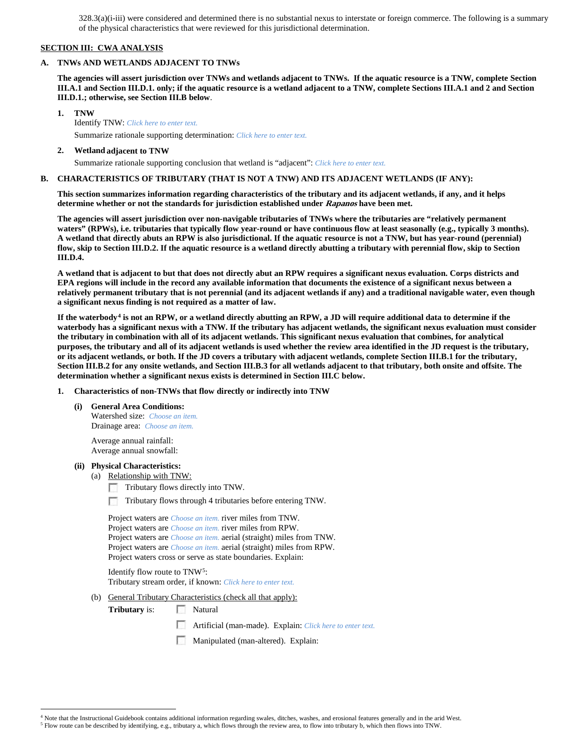328.3(a)(i-iii) were considered and determined there is no substantial nexus to interstate or foreign commerce. The following is a summary of the physical characteristics that were reviewed for this jurisdictional determination.

## **SECTION III: CWA ANALYSIS**

#### **A. TNWs AND WETLANDS ADJACENT TO TNWs**

**The agencies will assert jurisdiction over TNWs and wetlands adjacent to TNWs. If the aquatic resource is a TNW, complete Section III.A.1 and Section III.D.1. only; if the aquatic resource is a wetland adjacent to a TNW, complete Sections III.A.1 and 2 and Section III.D.1.; otherwise, see Section III.B below**.

**1. TNW** 

Identify TNW: *Click here to enter text.*

Summarize rationale supporting determination: *Click here to enter text.*

#### **2. Wetland adjacent to TNW**

Summarize rationale supporting conclusion that wetland is "adjacent": *Click here to enter text.*

## **B. CHARACTERISTICS OF TRIBUTARY (THAT IS NOT A TNW) AND ITS ADJACENT WETLANDS (IF ANY):**

**This section summarizes information regarding characteristics of the tributary and its adjacent wetlands, if any, and it helps determine whether or not the standards for jurisdiction established under Rapanos have been met.** 

**The agencies will assert jurisdiction over non-navigable tributaries of TNWs where the tributaries are "relatively permanent waters" (RPWs), i.e. tributaries that typically flow year-round or have continuous flow at least seasonally (e.g., typically 3 months). A wetland that directly abuts an RPW is also jurisdictional. If the aquatic resource is not a TNW, but has year-round (perennial) flow, skip to Section III.D.2. If the aquatic resource is a wetland directly abutting a tributary with perennial flow, skip to Section III.D.4.**

**A wetland that is adjacent to but that does not directly abut an RPW requires a significant nexus evaluation. Corps districts and EPA regions will include in the record any available information that documents the existence of a significant nexus between a relatively permanent tributary that is not perennial (and its adjacent wetlands if any) and a traditional navigable water, even though a significant nexus finding is not required as a matter of law.**

**If the waterbody[4](#page-1-0) is not an RPW, or a wetland directly abutting an RPW, a JD will require additional data to determine if the waterbody has a significant nexus with a TNW. If the tributary has adjacent wetlands, the significant nexus evaluation must consider the tributary in combination with all of its adjacent wetlands. This significant nexus evaluation that combines, for analytical purposes, the tributary and all of its adjacent wetlands is used whether the review area identified in the JD request is the tributary, or its adjacent wetlands, or both. If the JD covers a tributary with adjacent wetlands, complete Section III.B.1 for the tributary, Section III.B.2 for any onsite wetlands, and Section III.B.3 for all wetlands adjacent to that tributary, both onsite and offsite. The determination whether a significant nexus exists is determined in Section III.C below.**

**1. Characteristics of non-TNWs that flow directly or indirectly into TNW**

**(i) General Area Conditions:** Watershed size: *Choose an item.* Drainage area: *Choose an item.*

> Average annual rainfall: Average annual snowfall:

## **(ii) Physical Characteristics:**

(a) Relationship with TNW:

- Tributary flows directly into TNW. n
- Tributary flows through 4 tributaries before entering TNW. п

Project waters are *Choose an item.* river miles from TNW. Project waters are *Choose an item.* river miles from RPW. Project waters are *Choose an item.* aerial (straight) miles from TNW. Project waters are *Choose an item.* aerial (straight) miles from RPW. Project waters cross or serve as state boundaries. Explain:

Identify flow route to TNW[5:](#page-1-1) Tributary stream order, if known: *Click here to enter text.*

(b) General Tributary Characteristics (check all that apply):

**Tributary** is: Natural

- Artificial (man-made). Explain: *Click here to enter text.*
- Manipulated (man-altered). Explain:

 <sup>4</sup> Note that the Instructional Guidebook contains additional information regarding swales, ditches, washes, and erosional features generally and in the arid West.

<span id="page-1-1"></span><span id="page-1-0"></span><sup>5</sup> Flow route can be described by identifying, e.g., tributary a, which flows through the review area, to flow into tributary b, which then flows into TNW.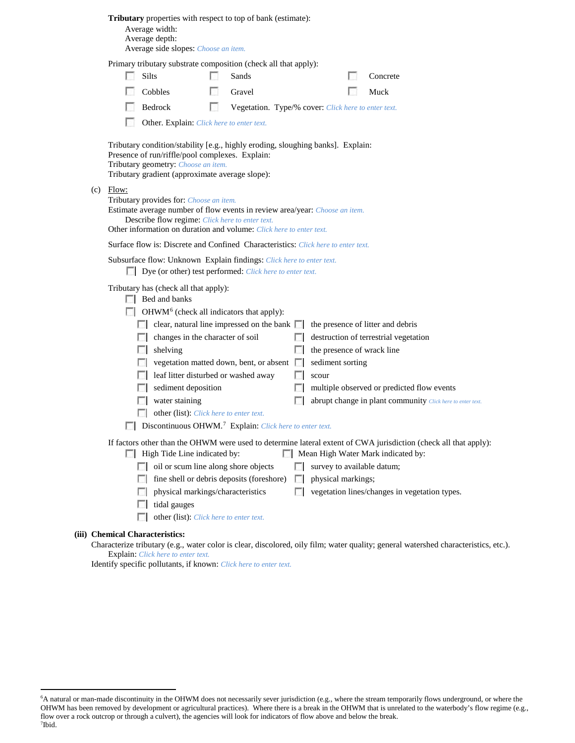| Tributary properties with respect to top of bank (estimate): |  |  |  |
|--------------------------------------------------------------|--|--|--|
|--------------------------------------------------------------|--|--|--|

Average width: Average depth:

 $(c)$ 

Average side slopes: *Choose an item.*

Primary tributary substrate composition (check all that apply):

|       | Primary tributary substrate composition (check all that apply):                                                                                                                                                                                                                                                                                                                                                                                                                                                                                                                                                                           |                                                     |                                                                                 |                                                                                                                                                                                                                                                                                                             |
|-------|-------------------------------------------------------------------------------------------------------------------------------------------------------------------------------------------------------------------------------------------------------------------------------------------------------------------------------------------------------------------------------------------------------------------------------------------------------------------------------------------------------------------------------------------------------------------------------------------------------------------------------------------|-----------------------------------------------------|---------------------------------------------------------------------------------|-------------------------------------------------------------------------------------------------------------------------------------------------------------------------------------------------------------------------------------------------------------------------------------------------------------|
|       | <b>Silts</b>                                                                                                                                                                                                                                                                                                                                                                                                                                                                                                                                                                                                                              | Sands                                               |                                                                                 | Concrete                                                                                                                                                                                                                                                                                                    |
|       | Cobbles                                                                                                                                                                                                                                                                                                                                                                                                                                                                                                                                                                                                                                   | Gravel                                              |                                                                                 | Muck                                                                                                                                                                                                                                                                                                        |
|       | Bedrock                                                                                                                                                                                                                                                                                                                                                                                                                                                                                                                                                                                                                                   | Vegetation. Type/% cover: Click here to enter text. |                                                                                 |                                                                                                                                                                                                                                                                                                             |
|       | Other. Explain: Click here to enter text.                                                                                                                                                                                                                                                                                                                                                                                                                                                                                                                                                                                                 |                                                     |                                                                                 |                                                                                                                                                                                                                                                                                                             |
|       | Tributary condition/stability [e.g., highly eroding, sloughing banks]. Explain:<br>Presence of run/riffle/pool complexes. Explain:<br>Tributary geometry: Choose an item.<br>Tributary gradient (approximate average slope):                                                                                                                                                                                                                                                                                                                                                                                                              |                                                     |                                                                                 |                                                                                                                                                                                                                                                                                                             |
| Flow: | Tributary provides for: Choose an item.<br>Estimate average number of flow events in review area/year: <i>Choose an item.</i><br>Describe flow regime: Click here to enter text.<br>Other information on duration and volume: Click here to enter text.                                                                                                                                                                                                                                                                                                                                                                                   |                                                     |                                                                                 |                                                                                                                                                                                                                                                                                                             |
|       | Surface flow is: Discrete and Confined Characteristics: Click here to enter text.                                                                                                                                                                                                                                                                                                                                                                                                                                                                                                                                                         |                                                     |                                                                                 |                                                                                                                                                                                                                                                                                                             |
|       | Subsurface flow: Unknown Explain findings: Click here to enter text.<br>Dye (or other) test performed: Click here to enter text.                                                                                                                                                                                                                                                                                                                                                                                                                                                                                                          |                                                     |                                                                                 |                                                                                                                                                                                                                                                                                                             |
|       | Tributary has (check all that apply):<br>$\Box$ Bed and banks<br>$\Box$ OHWM <sup>6</sup> (check all indicators that apply):<br><b>E</b> clear, natural line impressed on the bank $\Box$ the presence of litter and debris<br>$\Box$ changes in the character of soil<br>$\Box$ shelving<br>vegetation matted down, bent, or absent in sediment sorting<br>leaf litter disturbed or washed away<br>sediment deposition<br>water staining<br>D.<br>other (list): Click here to enter text.<br>Discontinuous OHWM. <sup>7</sup> Explain: Click here to enter text.<br>High Tide Line indicated by:<br>oil or scum line along shore objects |                                                     | $\Box$ the presence of wrack line<br>$\Box$ scour<br>survey to available datum; | destruction of terrestrial vegetation<br>multiple observed or predicted flow events<br>abrupt change in plant community Click here to enter text.<br>If factors other than the OHWM were used to determine lateral extent of CWA jurisdiction (check all that apply):<br>Mean High Water Mark indicated by: |
|       | $\Box$ fine shell or debris deposits (foreshore) $\Box$ physical markings;<br>physical markings/characteristics<br>tidal gauges<br>other (list): Click here to enter text.                                                                                                                                                                                                                                                                                                                                                                                                                                                                |                                                     |                                                                                 | vegetation lines/changes in vegetation types.                                                                                                                                                                                                                                                               |
|       |                                                                                                                                                                                                                                                                                                                                                                                                                                                                                                                                                                                                                                           |                                                     |                                                                                 |                                                                                                                                                                                                                                                                                                             |

## **(iii) Chemical Characteristics:**

Characterize tributary (e.g., water color is clear, discolored, oily film; water quality; general watershed characteristics, etc.). Explain: *Click here to enter text.*

Identify specific pollutants, if known: *Click here to enter text.*

<span id="page-2-1"></span><span id="page-2-0"></span> <sup>6</sup> <sup>6</sup>A natural or man-made discontinuity in the OHWM does not necessarily sever jurisdiction (e.g., where the stream temporarily flows underground, or where the OHWM has been removed by development or agricultural practices). Where there is a break in the OHWM that is unrelated to the waterbody's flow regime (e.g., flow over a rock outcrop or through a culvert), the agencies will look for indicators of flow above and below the break. 7 Ibid.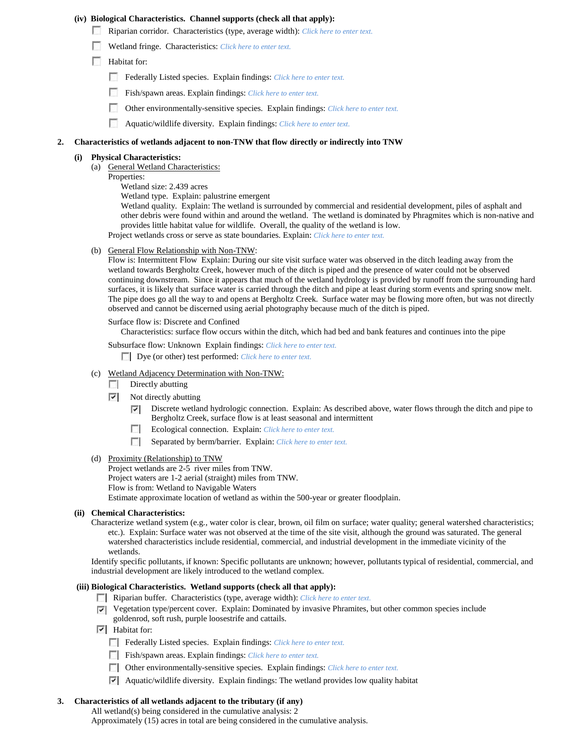## **(iv) Biological Characteristics. Channel supports (check all that apply):**

- Riparian corridor. Characteristics (type, average width): *Click here to enter text.*
- Wetland fringe. Characteristics: *Click here to enter text.*
- **Habitat for:** 
	- Federally Listed species. Explain findings: *Click here to enter text*.
	- Fish/spawn areas. Explain findings: *Click here to enter text*.
	- Other environmentally-sensitive species. Explain findings: *Click here to enter text.*
	- Aquatic/wildlife diversity. Explain findings: *Click here to enter text.*

## **2. Characteristics of wetlands adjacent to non-TNW that flow directly or indirectly into TNW**

#### **(i) Physical Characteristics:**

- (a) General Wetland Characteristics:
	- Properties:
		- Wetland size: 2.439 acres

Wetland type. Explain: palustrine emergent

Wetland quality. Explain: The wetland is surrounded by commercial and residential development, piles of asphalt and other debris were found within and around the wetland. The wetland is dominated by Phragmites which is non-native and provides little habitat value for wildlife. Overall, the quality of the wetland is low.

Project wetlands cross or serve as state boundaries. Explain: *Click here to enter text.*

(b) General Flow Relationship with Non-TNW:

Flow is: Intermittent Flow Explain: During our site visit surface water was observed in the ditch leading away from the wetland towards Bergholtz Creek, however much of the ditch is piped and the presence of water could not be observed continuing downstream. Since it appears that much of the wetland hydrology is provided by runoff from the surrounding hard surfaces, it is likely that surface water is carried through the ditch and pipe at least during storm events and spring snow melt. The pipe does go all the way to and opens at Bergholtz Creek. Surface water may be flowing more often, but was not directly observed and cannot be discerned using aerial photography because much of the ditch is piped.

#### Surface flow is: Discrete and Confined

Characteristics: surface flow occurs within the ditch, which had bed and bank features and continues into the pipe

Subsurface flow: Unknown Explain findings: *Click here to enter text.*

Dye (or other) test performed: *Click here to enter text.*

- (c) Wetland Adjacency Determination with Non-TNW:
	- $\Box$  Directly abutting
	- ⊽ Not directly abutting
		- Discrete wetland hydrologic connection. Explain: As described above, water flows through the ditch and pipe to ☞ Bergholtz Creek, surface flow is at least seasonal and intermittent
		- $\Box$ Ecological connection. Explain: *Click here to enter text.*
		- $\sim$ Separated by berm/barrier. Explain: *Click here to enter text.*

## (d) Proximity (Relationship) to TNW

Project wetlands are 2-5 river miles from TNW. Project waters are 1-2 aerial (straight) miles from TNW. Flow is from: Wetland to Navigable Waters Estimate approximate location of wetland as within the 500-year or greater floodplain.

## **(ii) Chemical Characteristics:**

Characterize wetland system (e.g., water color is clear, brown, oil film on surface; water quality; general watershed characteristics; etc.). Explain: Surface water was not observed at the time of the site visit, although the ground was saturated. The general watershed characteristics include residential, commercial, and industrial development in the immediate vicinity of the wetlands.

Identify specific pollutants, if known: Specific pollutants are unknown; however, pollutants typical of residential, commercial, and industrial development are likely introduced to the wetland complex.

# **(iii) Biological Characteristics. Wetland supports (check all that apply):**

Riparian buffer. Characteristics (type, average width): *Click here to enter text.*

- Vegetation type/percent cover. Explain: Dominated by invasive Phramites, but other common species include goldenrod, soft rush, purple loosestrife and cattails.
- $\overline{\triangledown}$  Habitat for:
	- Federally Listed species. Explain findings: *Click here to enter text*.
	- Fish/spawn areas. Explain findings: *Click here to enter text.*
	- Other environmentally-sensitive species. Explain findings: *Click here to enter text.*
	- $\triangledown$  Aquatic/wildlife diversity. Explain findings: The wetland provides low quality habitat

## **3. Characteristics of all wetlands adjacent to the tributary (if any)**

All wetland(s) being considered in the cumulative analysis: 2

Approximately (15) acres in total are being considered in the cumulative analysis.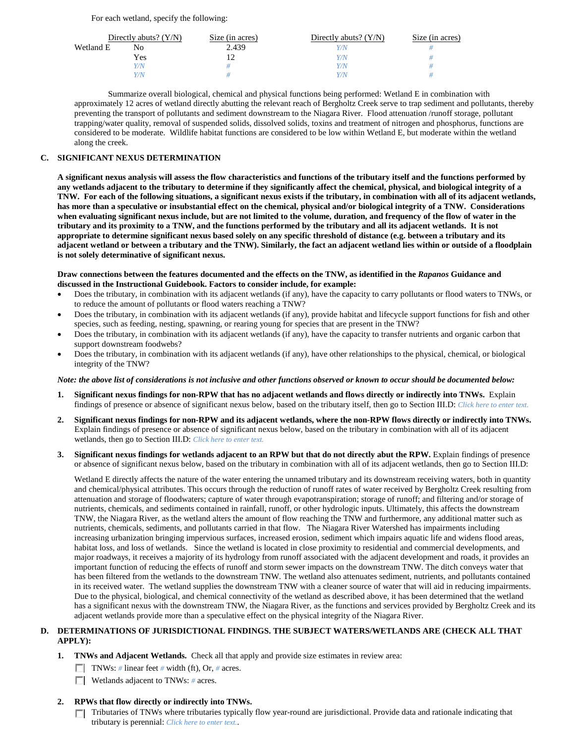For each wetland, specify the following:

|           | Directly abuts? $(Y/N)$ | Size (in acres) | Directly abuts? $(Y/N)$ | Size (in acres) |
|-----------|-------------------------|-----------------|-------------------------|-----------------|
| Wetland E | No                      | 2.439           | Y/N                     |                 |
|           | Yes                     |                 | Y/N                     |                 |
|           | Y/N                     |                 | Y/N                     |                 |
|           | Y/N                     |                 | Y/N                     |                 |

Summarize overall biological, chemical and physical functions being performed: Wetland E in combination with approximately 12 acres of wetland directly abutting the relevant reach of Bergholtz Creek serve to trap sediment and pollutants, thereby preventing the transport of pollutants and sediment downstream to the Niagara River. Flood attenuation /runoff storage, pollutant trapping/water quality, removal of suspended solids, dissolved solids, toxins and treatment of nitrogen and phosphorus, functions are considered to be moderate. Wildlife habitat functions are considered to be low within Wetland E, but moderate within the wetland along the creek.

## **C. SIGNIFICANT NEXUS DETERMINATION**

**A significant nexus analysis will assess the flow characteristics and functions of the tributary itself and the functions performed by any wetlands adjacent to the tributary to determine if they significantly affect the chemical, physical, and biological integrity of a TNW. For each of the following situations, a significant nexus exists if the tributary, in combination with all of its adjacent wetlands, has more than a speculative or insubstantial effect on the chemical, physical and/or biological integrity of a TNW. Considerations when evaluating significant nexus include, but are not limited to the volume, duration, and frequency of the flow of water in the tributary and its proximity to a TNW, and the functions performed by the tributary and all its adjacent wetlands. It is not appropriate to determine significant nexus based solely on any specific threshold of distance (e.g. between a tributary and its adjacent wetland or between a tributary and the TNW). Similarly, the fact an adjacent wetland lies within or outside of a floodplain is not solely determinative of significant nexus.** 

## **Draw connections between the features documented and the effects on the TNW, as identified in the** *Rapanos* **Guidance and discussed in the Instructional Guidebook. Factors to consider include, for example:**

- Does the tributary, in combination with its adjacent wetlands (if any), have the capacity to carry pollutants or flood waters to TNWs, or to reduce the amount of pollutants or flood waters reaching a TNW?
- Does the tributary, in combination with its adjacent wetlands (if any), provide habitat and lifecycle support functions for fish and other species, such as feeding, nesting, spawning, or rearing young for species that are present in the TNW?
- Does the tributary, in combination with its adjacent wetlands (if any), have the capacity to transfer nutrients and organic carbon that support downstream foodwebs?
- Does the tributary, in combination with its adjacent wetlands (if any), have other relationships to the physical, chemical, or biological integrity of the TNW?

## *Note: the above list of considerations is not inclusive and other functions observed or known to occur should be documented below:*

- **1. Significant nexus findings for non-RPW that has no adjacent wetlands and flows directly or indirectly into TNWs.** Explain findings of presence or absence of significant nexus below, based on the tributary itself, then go to Section III.D: *Click here to enter text.*
- **2. Significant nexus findings for non-RPW and its adjacent wetlands, where the non-RPW flows directly or indirectly into TNWs.**  Explain findings of presence or absence of significant nexus below, based on the tributary in combination with all of its adjacent wetlands, then go to Section III.D: *Click here to enter text.*
- **3. Significant nexus findings for wetlands adjacent to an RPW but that do not directly abut the RPW.** Explain findings of presence or absence of significant nexus below, based on the tributary in combination with all of its adjacent wetlands, then go to Section III.D:

Wetland E directly affects the nature of the water entering the unnamed tributary and its downstream receiving waters, both in quantity and chemical/physical attributes. This occurs through the reduction of runoff rates of water received by Bergholtz Creek resulting from attenuation and storage of floodwaters; capture of water through evapotranspiration; storage of runoff; and filtering and/or storage of nutrients, chemicals, and sediments contained in rainfall, runoff, or other hydrologic inputs. Ultimately, this affects the downstream TNW, the Niagara River, as the wetland alters the amount of flow reaching the TNW and furthermore, any additional matter such as nutrients, chemicals, sediments, and pollutants carried in that flow. The Niagara River Watershed has impairments including increasing urbanization bringing impervious surfaces, increased erosion, sediment which impairs aquatic life and widens flood areas, habitat loss, and loss of wetlands. Since the wetland is located in close proximity to residential and commercial developments, and major roadways, it receives a majority of its hydrology from runoff associated with the adjacent development and roads, it provides an important function of reducing the effects of runoff and storm sewer impacts on the downstream TNW. The ditch conveys water that has been filtered from the wetlands to the downstream TNW. The wetland also attenuates sediment, nutrients, and pollutants contained in its received water. The wetland supplies the downstream TNW with a cleaner source of water that will aid in reducing impairments. Due to the physical, biological, and chemical connectivity of the wetland as described above, it has been determined that the wetland has a significant nexus with the downstream TNW, the Niagara River, as the functions and services provided by Bergholtz Creek and its adjacent wetlands provide more than a speculative effect on the physical integrity of the Niagara River.

# **D. DETERMINATIONS OF JURISDICTIONAL FINDINGS. THE SUBJECT WATERS/WETLANDS ARE (CHECK ALL THAT APPLY):**

- **1. TNWs and Adjacent Wetlands.** Check all that apply and provide size estimates in review area:
	- TNWs: *#* linear feet *#* width (ft), Or, *#* acres.
	- **Wetlands adjacent to TNWs: # acres.**

# **2. RPWs that flow directly or indirectly into TNWs.**

Tributaries of TNWs where tributaries typically flow year-round are jurisdictional. Provide data and rationale indicating that m. tributary is perennial: *Click here to enter text.*.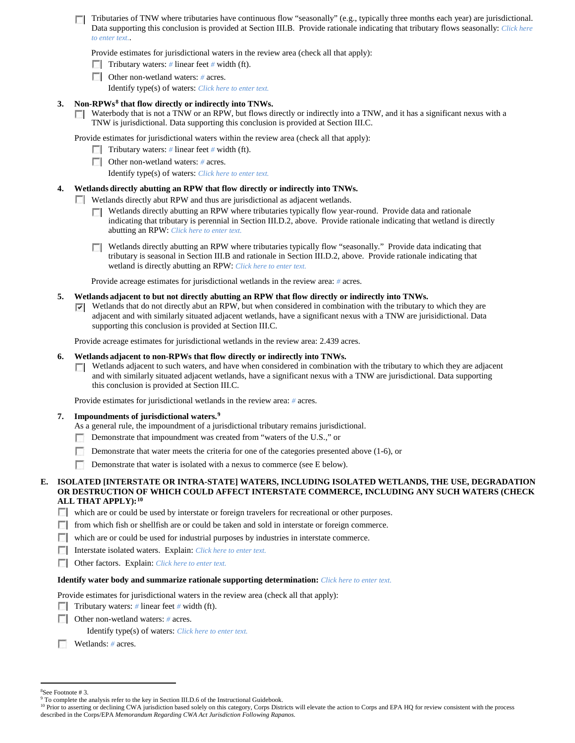Tributaries of TNW where tributaries have continuous flow "seasonally" (e.g., typically three months each year) are jurisdictional. Data supporting this conclusion is provided at Section III.B. Provide rationale indicating that tributary flows seasonally: *Click here to enter text.*.

Provide estimates for jurisdictional waters in the review area (check all that apply):

- **Tributary waters:** # linear feet # width (ft).
- Other non-wetland waters: # acres.

Identify type(s) of waters: *Click here to enter text.*

# **3. Non-RPWs[8](#page-5-0) that flow directly or indirectly into TNWs.**

 $\Box$  Waterbody that is not a TNW or an RPW, but flows directly or indirectly into a TNW, and it has a significant nexus with a TNW is jurisdictional. Data supporting this conclusion is provided at Section III.C.

Provide estimates for jurisdictional waters within the review area (check all that apply):

Tributary waters: # linear feet # width (ft).

Other non-wetland waters: # acres.

Identify type(s) of waters: *Click here to enter text.*

# **4. Wetlands directly abutting an RPW that flow directly or indirectly into TNWs.**

Wetlands directly abut RPW and thus are jurisdictional as adjacent wetlands.

- **T** Wetlands directly abutting an RPW where tributaries typically flow year-round. Provide data and rationale indicating that tributary is perennial in Section III.D.2, above. Provide rationale indicating that wetland is directly abutting an RPW: *Click here to enter text.*
- Wetlands directly abutting an RPW where tributaries typically flow "seasonally." Provide data indicating that tributary is seasonal in Section III.B and rationale in Section III.D.2, above. Provide rationale indicating that wetland is directly abutting an RPW: *Click here to enter text.*

Provide acreage estimates for jurisdictional wetlands in the review area: *#* acres.

## **5. Wetlands adjacent to but not directly abutting an RPW that flow directly or indirectly into TNWs.**

 $\nabla$  Wetlands that do not directly abut an RPW, but when considered in combination with the tributary to which they are adjacent and with similarly situated adjacent wetlands, have a significant nexus with a TNW are jurisidictional. Data supporting this conclusion is provided at Section III.C.

Provide acreage estimates for jurisdictional wetlands in the review area: 2.439 acres.

## **6. Wetlands adjacent to non-RPWs that flow directly or indirectly into TNWs.**

**T** Wetlands adjacent to such waters, and have when considered in combination with the tributary to which they are adjacent and with similarly situated adjacent wetlands, have a significant nexus with a TNW are jurisdictional. Data supporting this conclusion is provided at Section III.C.

Provide estimates for jurisdictional wetlands in the review area: *#* acres.

## **7. Impoundments of jurisdictional waters. [9](#page-5-1)**

- As a general rule, the impoundment of a jurisdictional tributary remains jurisdictional.
- Demonstrate that impoundment was created from "waters of the U.S.," or
- п. Demonstrate that water meets the criteria for one of the categories presented above (1-6), or
- n Demonstrate that water is isolated with a nexus to commerce (see E below).

## **E. ISOLATED [INTERSTATE OR INTRA-STATE] WATERS, INCLUDING ISOLATED WETLANDS, THE USE, DEGRADATION OR DESTRUCTION OF WHICH COULD AFFECT INTERSTATE COMMERCE, INCLUDING ANY SUCH WATERS (CHECK ALL THAT APPLY):[10](#page-5-2)**

- which are or could be used by interstate or foreign travelers for recreational or other purposes.
- $\Box$  from which fish or shellfish are or could be taken and sold in interstate or foreign commerce.
- which are or could be used for industrial purposes by industries in interstate commerce.
- Interstate isolated waters.Explain: *Click here to enter text.*
- Other factors.Explain: *Click here to enter text.*

## **Identify water body and summarize rationale supporting determination:** *Click here to enter text.*

Provide estimates for jurisdictional waters in the review area (check all that apply):

- **Tributary waters:**  $\#$  linear feet  $\#$  width (ft).
- **Other non-wetland waters:** # acres.

Identify type(s) of waters: *Click here to enter text.*

Wetlands: # acres.

 $\frac{1}{8}$ 

<span id="page-5-0"></span><sup>&</sup>lt;sup>8</sup>See Footnote # 3.<br><sup>9</sup> To complete the analysis refer to the key in Section III.D.6 of the Instructional Guidebook.

<span id="page-5-2"></span><span id="page-5-1"></span><sup>&</sup>lt;sup>10</sup> Prior to asserting or declining CWA jurisdiction based solely on this category, Corps Districts will elevate the action to Corps and EPA HQ for review consistent with the process described in the Corps/EPA *Memorandum Regarding CWA Act Jurisdiction Following Rapanos.*